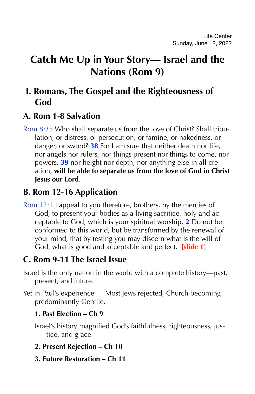# **Catch Me Up in Your Story— Israel and the Nations (Rom 9)**

# **I. Romans, The Gospel and the Righteousness of God**

### **A. Rom 1-8 Salvation**

Rom 8:35 Who shall separate us from the love of Christ? Shall tribulation, or distress, or persecution, or famine, or nakedness, or danger, or sword? **38** For I am sure that neither death nor life, nor angels nor rulers, nor things present nor things to come, nor powers, **39** nor height nor depth, nor anything else in all creation, **will be able to separate us from the love of God in Christ Jesus our Lord**.

### **B. Rom 12-16 Application**

Rom 12:1 I appeal to you therefore, brothers, by the mercies of God, to present your bodies as a living sacrifice, holy and acceptable to God, which is your spiritual worship. **2** Do not be conformed to this world, but be transformed by the renewal of your mind, that by testing you may discern what is the will of God, what is good and acceptable and perfect. **[slide 1]**

### **C. Rom 9-11 The Israel Issue**

- Israel is the only nation in the world with a complete history—past, present, and future.
- Yet in Paul's experience Most Jews rejected, Church becoming predominantly Gentile.

#### **1. Past Election – Ch 9**

- Israel's history magnified God's faithfulness, righteousness, justice, and grace
- **2. Present Rejection Ch 10**
- **3. Future Restoration Ch 11**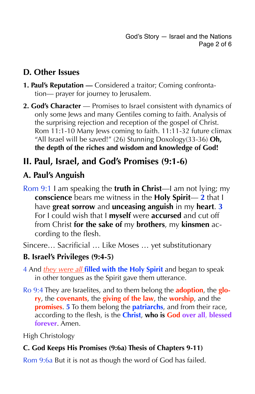# **D. Other Issues**

- **1. Paul's Reputation** Considered a traitor; Coming confrontation— prayer for journey to Jerusalem.
- 2. God's Character Promises to Israel consistent with dynamics of only some Jews and many Gentiles coming to faith. Analysis of the surprising rejection and reception of the gospel of Christ. Rom 11:1-10 Many Jews coming to faith. 11:11-32 future climax "All Israel will be saved!" (26) Stunning Doxology(33-36) **Oh, the depth of the riches and wisdom and knowledge of God!**

# **II. Paul, Israel, and God's Promises (9:1-6)**

### **A. Paul's Anguish**

Rom 9:1 I am speaking the **truth in Christ**—I am not lying; my **conscience** bears me witness in the **Holy Spirit**— **2** that I have **great sorrow** and **unceasing anguish** in my **heart**. **3** For I could wish that I **myself** were **accursed** and cut off from Christ **for the sake of** my **brothers**, my **kinsmen** according to the flesh.

Sincere… Sacrificial … Like Moses … yet substitutionary

### **B. Israel's Privileges (9:4-5)**

- 4 And *they were all* **filled with the Holy Spirit** and began to speak in other tongues as the Spirit gave them utterance.
- Ro 9:4 They are Israelites, and to them belong the **adoption**, the **glory**, the **covenants**, the **giving of the law**, the **worship**, and the **promises**. **5** To them belong the **patriarchs**, and from their race, according to the flesh, is the **Christ**, **who is God over all**, **blessed forever**. Amen.

High Christology

#### **C. God Keeps His Promises (9:6a) Thesis of Chapters 9-11)**

Rom 9:6a But it is not as though the word of God has failed.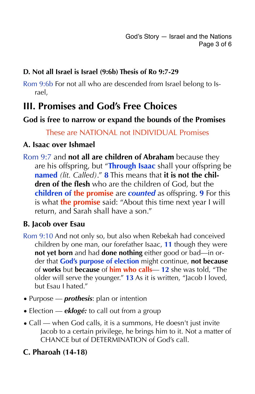#### **D. Not all Israel is Israel (9:6b) Thesis of Ro 9:7-29**

Rom 9:6b For not all who are descended from Israel belong to Israel,

# **III. Promises and God's Free Choices**

#### **God is free to narrow or expand the bounds of the Promises**

#### These are NATIONAL not INDIVIDUAL Promises

#### **A. Isaac over Ishmael**

Rom 9:7 and **not all are children of Abraham** because they are his offspring, but "**Through Isaac** shall your offspring be **named** *(lit. Called)*." **8** This means that **it is not the children of the flesh** who are the children of God, but the **children of the promise** are *counted* as offspring. **9** For this is what **the promise** said: "About this time next year I will return, and Sarah shall have a son."

#### **B. Jacob over Esau**

- Rom 9:10 And not only so, but also when Rebekah had conceived children by one man, our forefather Isaac, **11** though they were **not yet born** and had **done nothing** either good or bad—in order that **God's purpose of election** might continue, **not because** of **works** but **because** of **him who calls**— **12** she was told, "The older will serve the younger." **13** As it is written, "Jacob I loved, but Esau I hated."
- Purpose *prothesis*: plan or intention
- Election *eklogé:* to call out from a group
- Call when God calls, it is a summons, He doesn't just invite Jacob to a certain privilege, he brings him to it. Not a matter of CHANCE but of DETERMINATION of God's call.

### **C. Pharoah (14-18)**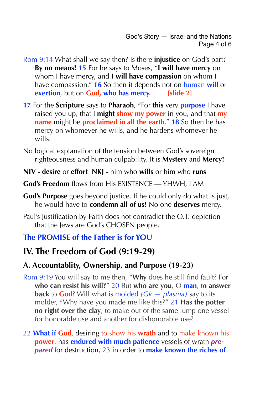- Rom 9:14 What shall we say then? Is there **injustice** on God's part? **By no means! 15** For he says to Moses, "**I will have mercy** on whom I have mercy, and **I will have compassion** on whom I have compassion." **16** So then it depends not on human **will** or **exertion**, but on **God, who has mercy. [slide 2]**
- **17** For the **Scripture** says to **Pharaoh**, "For **this** very **purpose** I have raised you up, that I **might show my power** in you, and that **my name** might be **proclaimed in all the earth**." **18** So then he has mercy on whomever he wills, and he hardens whomever he wills.
- No logical explanation of the tension between God's sovereign righteousness and human culpability. It is **Mystery** and **Mercy!**
- **NIV desire** or **effort NKJ** him who **wills** or him who **runs**
- **God's Freedom** flows from His EXISTENCE YHWH, I AM
- **God's Purpose** goes beyond justice. If he could only do what is just, he would have to **condemn all of us!** No one **deserves** mercy.
- Paul's Justification by Faith does not contradict the O.T. depiction that the Jews are God's CHOSEN people.

#### **The PROMISE of the Father is for YOU**

### **IV. The Freedom of God (9:19-29)**

#### **A. Accountablity, Ownership, and Purpose (19-23)**

- Rom 9:19 You will say to me then, "**Why** does he still find fault? For **who can resist his will?**" 20 But **who are you**, O **man**, t**o answer back** to **God**? Will what is molded *(Gk — plasma)* say to its molder, "Why have you made me like this?" 21 **Has the potter no right over the clay**, to make out of the same lump one vessel for honorable use and another for dishonorable use?
- 22 **What if God**, desiring to show his **wrath** and to make known his **power**, has **endured with much patience** vessels of wrath *prepared* for destruction, 23 in order to **make known the riches of**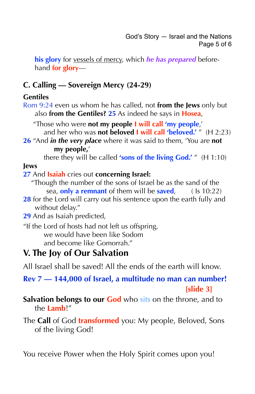**his glory** for vessels of mercy, which *he has prepared* beforehand **for glory**—

### **C. Calling — Sovereign Mercy (24-29)**

#### **Gentiles**

Rom 9:24 even us whom he has called, not **from the Jews** only but also **from the Gentiles? 25** As indeed he says in **Hosea**,

 "Those who were **not my people I will call 'my people**,' and her who was **not beloved I will call 'beloved.'** " (H 2:23)

**26** "And *in the very place* where it was said to them, 'You are **not my people,**'

there they will be called **'sons of the living God.'** " (H 1:10)

#### **Jews**

#### **27** And **Isaiah** cries out **concerning Israel:**

- "Though the number of the sons of Israel be as the sand of the sea, **only a remnant** of them will be **saved**, ( Is 10:22)
- **28** for the Lord will carry out his sentence upon the earth fully and without delay."
- **29** And as Isaiah predicted,
- "If the Lord of hosts had not left us offspring, we would have been like Sodom and become like Gomorrah."

# **V. The Joy of Our Salvation**

All Israel shall be saved! All the ends of the earth will know.

**Rev 7 — 144,000 of Israel, a multitude no man can number!** *Example 3 Example 3 <i> Slide 3* 

**Salvation belongs to our God** who sits on the throne, and to the **Lamb**!"

The **Call** of God **transformed** you: My people, Beloved, Sons of the living God!

You receive Power when the Holy Spirit comes upon you!